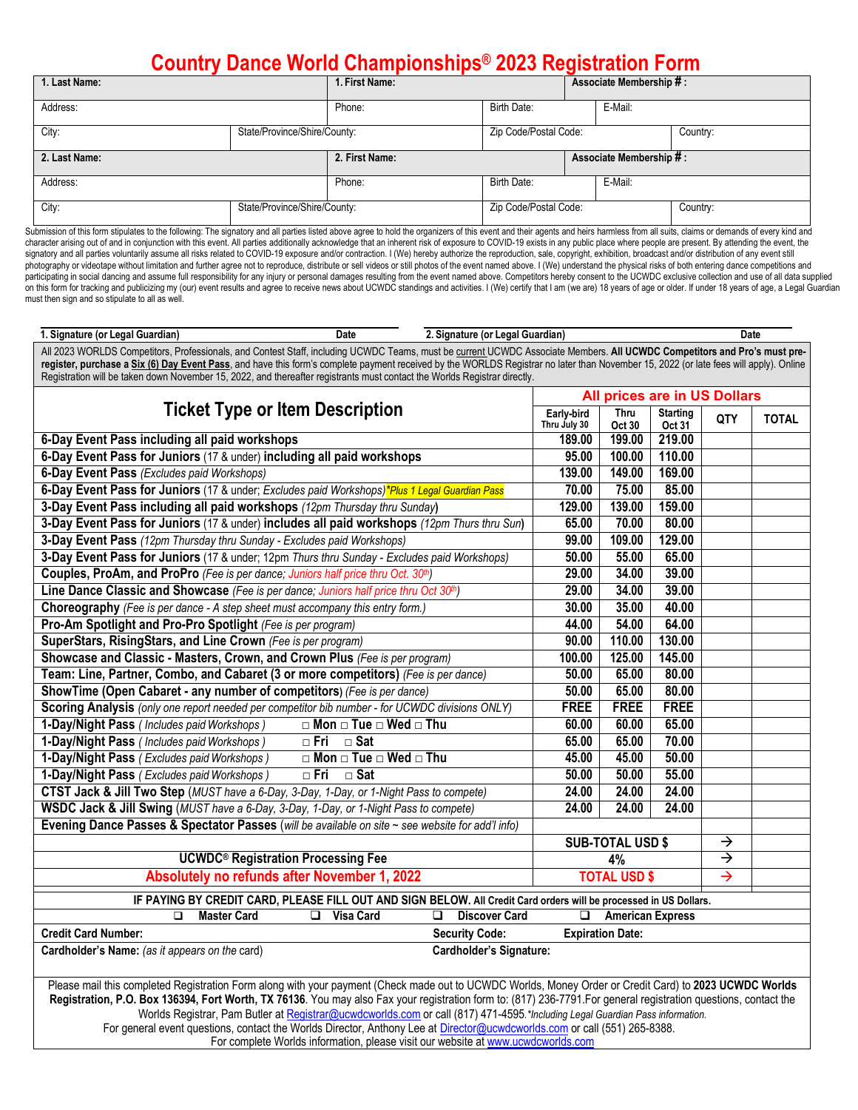## **Country Dance World Championships® 2023 Registration Form**

| 1. Last Name: | 1. First Name:               |         |                       | Associate Membership #: |          |  |  |  |
|---------------|------------------------------|---------|-----------------------|-------------------------|----------|--|--|--|
| Address:      | Phone:                       | E-Mail: |                       |                         |          |  |  |  |
| City:         | State/Province/Shire/County: |         | Zip Code/Postal Code: |                         | Country: |  |  |  |
| 2. Last Name: | 2. First Name:               |         |                       | Associate Membership #: |          |  |  |  |
|               |                              |         |                       |                         |          |  |  |  |
| Address:      |                              | Phone:  | <b>Birth Date:</b>    |                         | E-Mail:  |  |  |  |

Submission of this form stipulates to the following: The signatory and all parties listed above agree to hold the organizers of this event and their agents and heirs harmless from all suits, claims or demands of every kind character arising out of and in conjunction with this event. All parties additionally acknowledge that an inherent risk of exposure to COVID-19 exists in any public place where people are present. By attending the event, the signatory and all parties voluntarily assume all risks related to COVID-19 exposure and/or contraction. I (We) hereby authorize the reproduction, sale, copyright, exhibition, broadcast and/or distribution of any event stil photography or videotape without limitation and further agree not to reproduce, distribute or sell videos or still photos of the event named above. I (We) understand the physical risks of both entering dance competitions a participating in social dancing and assume full responsibility for any injury or personal damages resulting from the event named above. Competitors hereby consent to the UCWDC exclusive collection and use of all data suppl on this form for tracking and publicizing my (our) event results and agree to receive news about UCWDC standings and activities. I (We) certify that I am (we are) 18 years of age or older. If under 18 years of age, a Legal must then sign and so stipulate to all as well.

| 1. Signature (or Legal Guardian)                                                                                                                                                                                                                                                                                   | <b>Date</b>                                 | 2. Signature (or Legal Guardian) |                 |                         |             |               | Date         |  |  |
|--------------------------------------------------------------------------------------------------------------------------------------------------------------------------------------------------------------------------------------------------------------------------------------------------------------------|---------------------------------------------|----------------------------------|-----------------|-------------------------|-------------|---------------|--------------|--|--|
| All 2023 WORLDS Competitors, Professionals, and Contest Staff, including UCWDC Teams, must be current UCWDC Associate Members. All UCWDC Competitors and Pro's must pre-                                                                                                                                           |                                             |                                  |                 |                         |             |               |              |  |  |
| register, purchase a Six (6) Day Event Pass, and have this form's complete payment received by the WORLDS Registrar no later than November 15, 2022 (or late fees will apply). Online<br>Registration will be taken down November 15, 2022, and thereafter registrants must contact the Worlds Registrar directly. |                                             |                                  |                 |                         |             |               |              |  |  |
|                                                                                                                                                                                                                                                                                                                    | All prices are in US Dollars                |                                  |                 |                         |             |               |              |  |  |
| <b>Ticket Type or Item Description</b>                                                                                                                                                                                                                                                                             | Early-bird                                  | <b>Thru</b>                      | <b>Starting</b> |                         |             |               |              |  |  |
|                                                                                                                                                                                                                                                                                                                    |                                             |                                  | Thru July 30    | Oct 30                  | Oct 31      | QTY           | <b>TOTAL</b> |  |  |
| 6-Day Event Pass including all paid workshops                                                                                                                                                                                                                                                                      |                                             |                                  | 189.00          | 199.00                  | 219.00      |               |              |  |  |
| 6-Day Event Pass for Juniors (17 & under) including all paid workshops                                                                                                                                                                                                                                             |                                             |                                  | 95.00           | 100.00                  | 110.00      |               |              |  |  |
| 6-Day Event Pass (Excludes paid Workshops)                                                                                                                                                                                                                                                                         |                                             |                                  | 139.00          | 149.00                  | 169.00      |               |              |  |  |
| 6-Day Event Pass for Juniors (17 & under; Excludes paid Workshops)*Plus 1 Legal Guardian Pass                                                                                                                                                                                                                      |                                             |                                  | 70.00           | 75.00                   | 85.00       |               |              |  |  |
| 3-Day Event Pass including all paid workshops (12pm Thursday thru Sunday)                                                                                                                                                                                                                                          |                                             |                                  | 129.00          | 139.00                  | 159.00      |               |              |  |  |
| 3-Day Event Pass for Juniors (17 & under) includes all paid workshops (12pm Thurs thru Sun)                                                                                                                                                                                                                        |                                             |                                  | 65.00           | 70.00                   | 80.00       |               |              |  |  |
| 3-Day Event Pass (12pm Thursday thru Sunday - Excludes paid Workshops)                                                                                                                                                                                                                                             |                                             |                                  | 99.00           | 109.00                  | 129.00      |               |              |  |  |
| 3-Day Event Pass for Juniors (17 & under; 12pm Thurs thru Sunday - Excludes paid Workshops)                                                                                                                                                                                                                        |                                             |                                  | 50.00           | 55.00                   | 65.00       |               |              |  |  |
| Couples, ProAm, and ProPro (Fee is per dance; Juniors half price thru Oct. 30th)                                                                                                                                                                                                                                   |                                             |                                  | 29.00           | 34.00                   | 39.00       |               |              |  |  |
| Line Dance Classic and Showcase (Fee is per dance; Juniors half price thru Oct 30th)                                                                                                                                                                                                                               |                                             |                                  | 29.00           | 34.00                   | 39.00       |               |              |  |  |
| Choreography (Fee is per dance - A step sheet must accompany this entry form.)                                                                                                                                                                                                                                     |                                             |                                  | 30.00           | 35.00                   | 40.00       |               |              |  |  |
| Pro-Am Spotlight and Pro-Pro Spotlight (Fee is per program)                                                                                                                                                                                                                                                        |                                             |                                  | 44.00           | 54.00                   | 64.00       |               |              |  |  |
| SuperStars, RisingStars, and Line Crown (Fee is per program)                                                                                                                                                                                                                                                       |                                             |                                  | 90.00           | 110.00                  | 130.00      |               |              |  |  |
| Showcase and Classic - Masters, Crown, and Crown Plus (Fee is per program)                                                                                                                                                                                                                                         |                                             |                                  | 100.00          | 125.00                  | 145.00      |               |              |  |  |
| Team: Line, Partner, Combo, and Cabaret (3 or more competitors) (Fee is per dance)                                                                                                                                                                                                                                 |                                             |                                  | 50.00           | 65.00                   | 80.00       |               |              |  |  |
| ShowTime (Open Cabaret - any number of competitors) (Fee is per dance)                                                                                                                                                                                                                                             |                                             |                                  | 50.00           | 65.00                   | 80.00       |               |              |  |  |
| Scoring Analysis (only one report needed per competitor bib number - for UCWDC divisions ONLY)                                                                                                                                                                                                                     |                                             |                                  | <b>FREE</b>     | <b>FREE</b>             | <b>FREE</b> |               |              |  |  |
| 1-Day/Night Pass (Includes paid Workshops)                                                                                                                                                                                                                                                                         | $\Box$ Mon $\Box$ Tue $\Box$ Wed $\Box$ Thu |                                  | 60.00           | 60.00                   | 65.00       |               |              |  |  |
| 1-Day/Night Pass (Includes paid Workshops)                                                                                                                                                                                                                                                                         | $\Box$ Fri<br>$\Box$ Sat                    |                                  | 65.00           | 65.00                   | 70.00       |               |              |  |  |
| 1-Day/Night Pass (Excludes paid Workshops)                                                                                                                                                                                                                                                                         | $\Box$ Mon $\Box$ Tue $\Box$ Wed $\Box$ Thu |                                  | 45.00           | 45.00                   | 50.00       |               |              |  |  |
| 1-Day/Night Pass (Excludes paid Workshops)                                                                                                                                                                                                                                                                         | $\Box$ Fri<br>$\Box$ Sat                    |                                  | 50.00           | 50.00                   | 55.00       |               |              |  |  |
| CTST Jack & Jill Two Step (MUST have a 6-Day, 3-Day, 1-Day, or 1-Night Pass to compete)                                                                                                                                                                                                                            |                                             |                                  | 24.00           | 24.00                   | 24.00       |               |              |  |  |
| WSDC Jack & Jill Swing (MUST have a 6-Day, 3-Day, 1-Day, or 1-Night Pass to compete)                                                                                                                                                                                                                               |                                             |                                  | 24.00           | 24.00                   | 24.00       |               |              |  |  |
| Evening Dance Passes & Spectator Passes (will be available on site ~ see website for add'l info)                                                                                                                                                                                                                   |                                             |                                  |                 |                         |             |               |              |  |  |
|                                                                                                                                                                                                                                                                                                                    |                                             |                                  |                 | <b>SUB-TOTAL USD \$</b> |             | $\rightarrow$ |              |  |  |
| <b>UCWDC<sup>®</sup> Registration Processing Fee</b>                                                                                                                                                                                                                                                               |                                             | 4%                               | $\rightarrow$   |                         |             |               |              |  |  |
| Absolutely no refunds after November 1, 2022                                                                                                                                                                                                                                                                       |                                             | <b>TOTAL USD \$</b>              | $\rightarrow$   |                         |             |               |              |  |  |
| IF PAYING BY CREDIT CARD, PLEASE FILL OUT AND SIGN BELOW. All Credit Card orders will be processed in US Dollars.                                                                                                                                                                                                  |                                             |                                  |                 |                         |             |               |              |  |  |
| <b>Master Card</b><br>□                                                                                                                                                                                                                                                                                            | <b>Visa Card</b><br>❏                       | <b>Discover Card</b><br>◻        | ❏               | <b>American Express</b> |             |               |              |  |  |
| <b>Credit Card Number:</b>                                                                                                                                                                                                                                                                                         |                                             | <b>Security Code:</b>            |                 | <b>Expiration Date:</b> |             |               |              |  |  |
| Cardholder's Name: (as it appears on the card)                                                                                                                                                                                                                                                                     |                                             | Cardholder's Signature:          |                 |                         |             |               |              |  |  |
|                                                                                                                                                                                                                                                                                                                    |                                             |                                  |                 |                         |             |               |              |  |  |

Please mail this completed Registration Form along with your payment (Check made out to UCWDC Worlds, Money Order or Credit Card) to **2023 UCWDC Worlds Registration, P.O. Box 136394, Fort Worth, TX 76136**. You may also Fax your registration form to: (817) 236-7791.For general registration questions, contact the Worlds Registrar, Pam Butler a[t Registrar@ucwdcworlds.com](about:blank) or call (817) 471-4595*.\*Including Legal Guardian Pass information.* For general event questions, contact the Worlds Director, Anthony Lee at [Director@ucwdcworlds.com](mailto:Director@ucwdcworlds.com) or call (551) 265-8388. For complete Worlds information, please visit our website at [www.ucwdcworlds.com](about:blank)